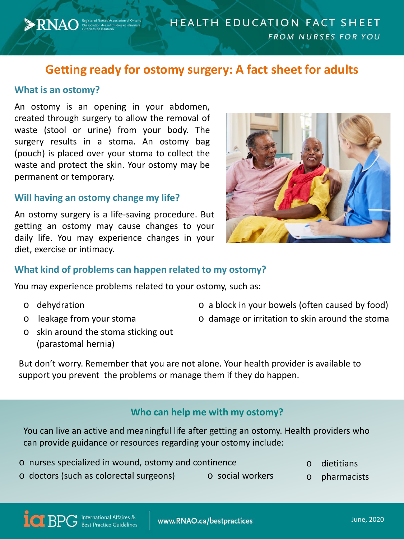# **Getting ready for ostomy surgery: A fact sheet for adults**

## **What is an ostomy?**

**ENAO** Registered Nurses' Association of Ontario

An ostomy is an opening in your abdomen, created through surgery to allow the removal of waste (stool or urine) from your body. The surgery results in a stoma. An ostomy bag (pouch) is placed over your stoma to collect the waste and protect the skin. Your ostomy may be permanent or temporary.

#### **Will having an ostomy change my life?**

An ostomy surgery is a life-saving procedure. But getting an ostomy may cause changes to your daily life. You may experience changes in your diet, exercise or intimacy.



## **What kind of problems can happen related to my ostomy?**

You may experience problems related to your ostomy, such as:

o dehydration

- o a block in your bowels (often caused by food)
- o leakage from your stoma o damage or irritation to skin around the stoma
- o skin around the stoma sticking out (parastomal hernia)

But don't worry. Remember that you are not alone. Your health provider is available to support you prevent the problems or manage them if they do happen.

# **Who can help me with my ostomy?**

You can live an active and meaningful life after getting an ostomy. Health providers who can provide guidance or resources regarding your ostomy include:

- o dietitians o nurses specialized in wound, ostomy and continence
- $\circ$  doctors (such as colorectal surgeons)  $\qquad \circ$  social workers
- - o pharmacists